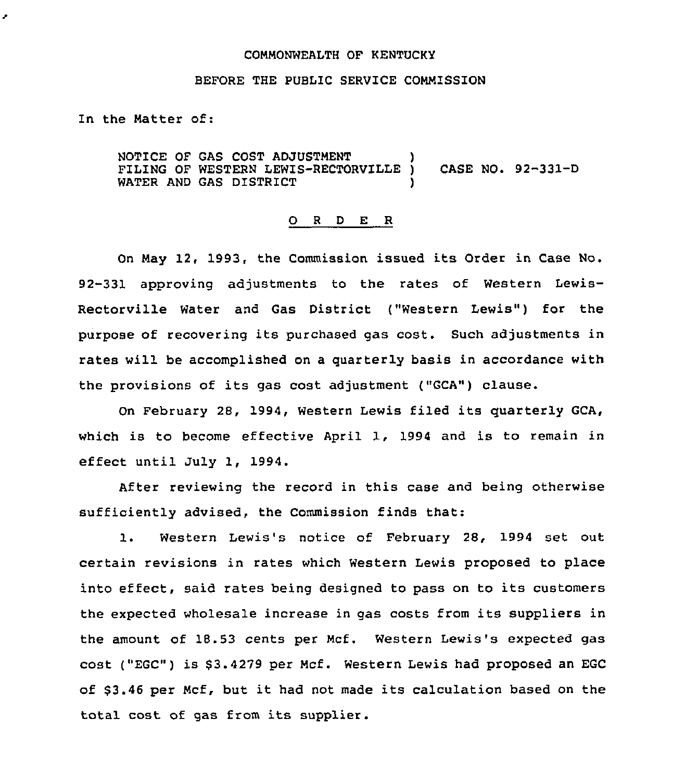## COMMONWEALTH OF KENTUCKT

## BEFORE THE PUBLIC SERVICE COMMISSION

In the Matter of:

z

NOTICE OF GAS COST ADJUSTMENT FILING OF WESTERN LEWIS-RECTORVILLE ) CASE NO. 92-331-D WATER AND GAS DISTRICT

## 0 <sup>R</sup> <sup>D</sup> E <sup>R</sup>

On May 12, 1993, the Commission issued its Order in Case No. 92-331 approving adjustments to the rates of Western Lewis-Rectorville Water and Gas District ("Western Lewis") for the purpose of recovering its purchased gas cost. Such adjustments in rates will be accomplished on a quarterly basis in accordance with the provisions of its gas cost adjustment ("GCA"} clause.

On February 28, 1994, Western Lewis filed its quarterly GCA, which is to become effective April 1, 1994 and is to remain in effect until July 1, 1994.

After reviewing the record in this case and being otherwise sufficiently advised, the Commission finds that:

1. Western Lewis's notice of February 2S, 1994 set out certain revisions in rates which Western Lewis proposed to place into effect, said rates being designed to pass on to its customers the expected wholesale increase in gas costs from its suppliers in the amount of 18.53 cents per Mcf. Western Lewis's expected gas cost ("EGC") is 63.4279 per Mcf. Western Lewis had proposed an EGC of \$3.46 per Mcf, but it had not made its calculation based on the total cost of gas from its supplier.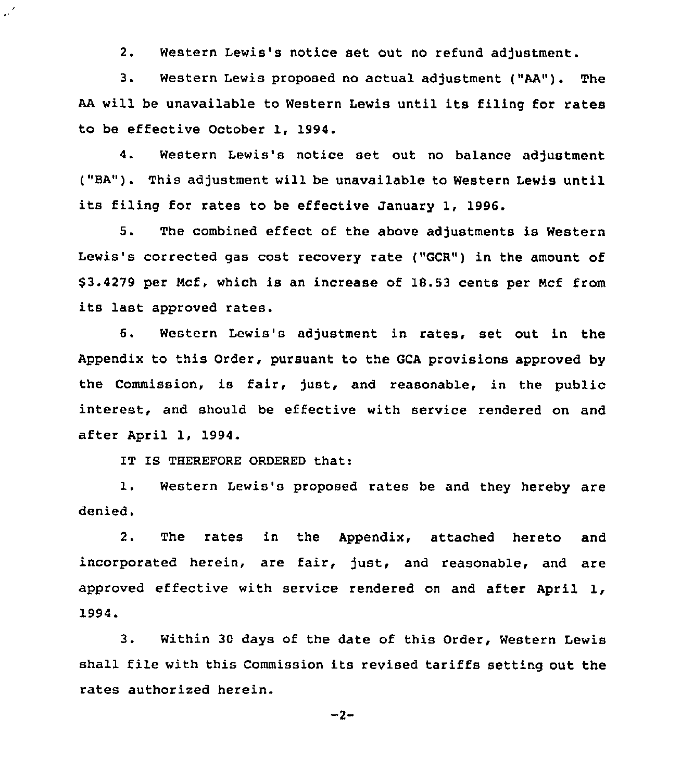2. Western Lewis's notice set out no refund adjustment.

3. Western Lewis proposed no actual adjustment ("AA"). The AA will be unavailable to Western Lewis until its filing for rates to be effective October 1, 1994.

4. Western Lewis's notice set out no balance adjustment ("BA"). This adjustment will be unavailable to Western Lewis until its filing for rates to be effective January 1, 1996.

5. The combined effect of the above adjustments is Western Lewis's corrected gas cost recovery rate ("GCR") in the amount of 63.4279 per Ncf, which is an increase of 18.53 cents per Mcf from its last approved rates.

6. Western Lewis's adjustment in rates, set out in the Appendix to this Order, pursuant to the GCA provisions approved by the Commission, is fair, just, and reasonable, in the public interest, and should be effective with service rendered on and after April 1, 1994.

IT IS THEREFORE ORDERED that:

 $\mathcal{L}^{\prime}$ 

1. Western Lewis's proposed rates be and they hereby are denied.

2. The rates in the Appendix, attached hereto and incorporated herein, are fair, just, and reasonable, and are approved effective with service rendered on and after April 1, 1994.

3. Within <sup>30</sup> days of the date of this Order, Western Lewis shall file with this Commission its revised tariffs setting out the rates authorized herein.

 $-2-$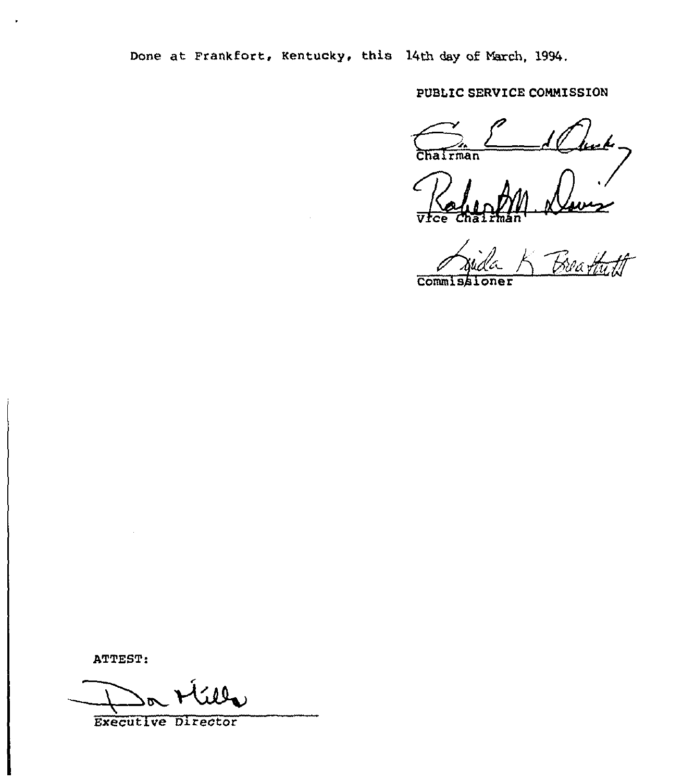Done at Frankfort, Kentucky, this 14th day of March, 1994.

PUBLIC SERVICE COMMISSION

ستعميما Chairman

Prince 1

CommIsAI

ATTEST:

Executive Director